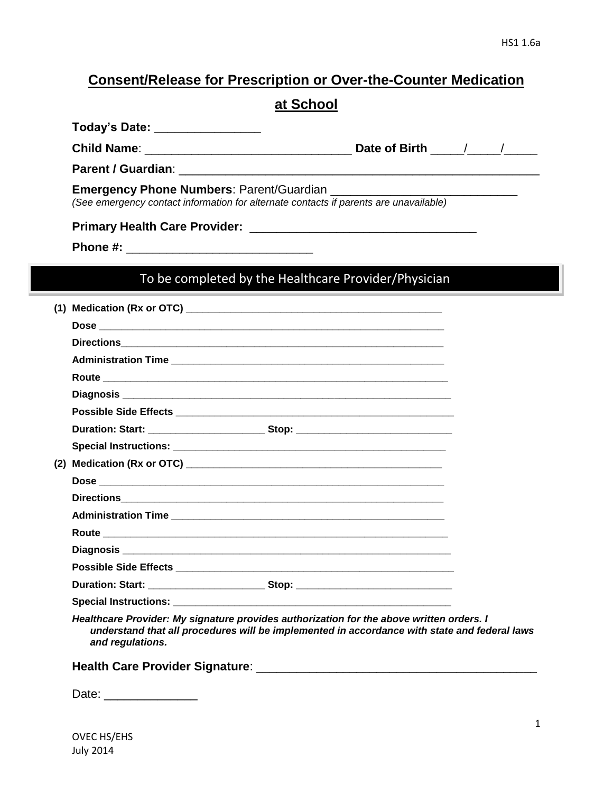## **Consent/Release for Prescription or Over-the-Counter Medication**

# **at School**

| Today's Date:      |               |  |
|--------------------|---------------|--|
| <b>Child Name:</b> | Date of Birth |  |
| Parent / Guardian: |               |  |

**Emergency Phone Numbers: Parent/Guardian \_\_\_\_\_\_\_\_\_** *(See emergency contact information for alternate contacts if parents are unavailable)*

**Primary Health Care Provider:** \_\_\_\_\_\_\_\_\_\_\_\_\_\_\_\_\_\_\_\_\_\_\_\_\_\_\_\_\_\_\_\_\_\_

**Phone #:** \_\_\_\_\_\_\_\_\_\_\_\_\_\_\_\_\_\_\_\_\_\_\_\_\_\_\_\_

## To be completed by the Healthcare Provider/Physician

|  | Duration: Start: ____________________________Stop: _____________________________  |  |
|--|-----------------------------------------------------------------------------------|--|
|  |                                                                                   |  |
|  |                                                                                   |  |
|  |                                                                                   |  |
|  |                                                                                   |  |
|  |                                                                                   |  |
|  |                                                                                   |  |
|  |                                                                                   |  |
|  |                                                                                   |  |
|  |                                                                                   |  |
|  |                                                                                   |  |
|  | Healthcare Provider: My signature provides authorization for the above written or |  |

*Healthcare Provider: My signature provides authorization for the above written orders. I understand that all procedures will be implemented in accordance with state and federal laws and regulations.* 

**Health Care Provider Signature**: \_\_\_\_\_\_\_\_\_\_\_\_\_\_\_\_\_\_\_\_\_\_\_\_\_\_\_\_\_\_\_\_\_\_\_\_\_\_\_\_\_\_

Date: \_\_\_\_\_\_\_\_\_\_\_\_\_\_